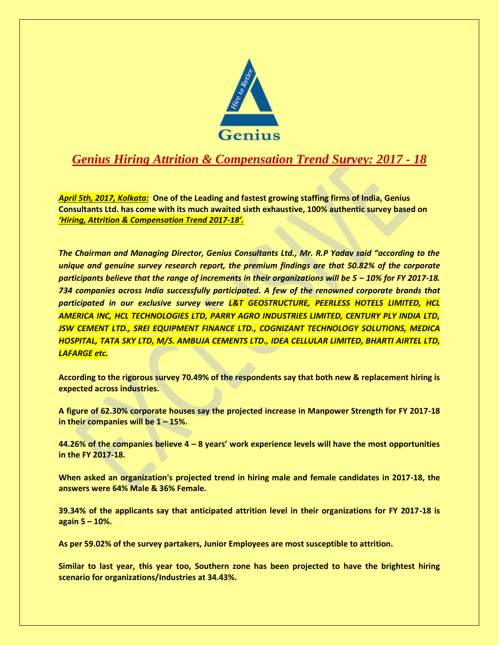

## *Genius Hiring Attrition & Compensation Trend Survey: 2017 - 18*

*April 5th, 2017, Kolkata:* **One of the Leading and fastest growing staffing firms of India, Genius Consultants Ltd. has come with its much awaited sixth exhaustive, 100% authentic survey based on**  *'Hiring, Attrition & Compensation Trend 2017-18'.*

*The Chairman and Managing Director, Genius Consultants Ltd., Mr. R.P Yadav said "according to the unique and genuine survey research report, the premium findings are that 50.82% of the corporate participants believe that the range of increments in their organizations will be 5 – 10% for FY 2017-18. 734 companies across India successfully participated. A few of the renowned corporate brands that participated in our exclusive survey were L&T GEOSTRUCTURE, PEERLESS HOTELS LIMITED, HCL AMERICA INC, HCL TECHNOLOGIES LTD, PARRY AGRO INDUSTRIES LIMITED, CENTURY PLY INDIA LTD, JSW CEMENT LTD., SREI EQUIPMENT FINANCE LTD., COGNIZANT TECHNOLOGY SOLUTIONS, MEDICA HOSPITAL, TATA SKY LTD, M/S. AMBUJA CEMENTS LTD., IDEA CELLULAR LIMITED, BHARTI AIRTEL LTD, LAFARGE etc.*

**According to the rigorous survey 70.49% of the respondents say that both new & replacement hiring is expected across industries.**

**A figure of 62.30% corporate houses say the projected increase in Manpower Strength for FY 2017-18 in their companies will be 1 – 15%.**

**44.26% of the companies believe 4 – 8 years' work experience levels will have the most opportunities in the FY 2017-18.**

**When asked an organization's projected trend in hiring male and female candidates in 2017-18, the answers were 64% Male & 36% Female.**

**39.34% of the applicants say that anticipated attrition level in their organizations for FY 2017-18 is again 5 – 10%.**

**As per 59.02% of the survey partakers, Junior Employees are most susceptible to attrition.**

**Similar to last year, this year too, Southern zone has been projected to have the brightest hiring scenario for organizations/Industries at 34.43%.**